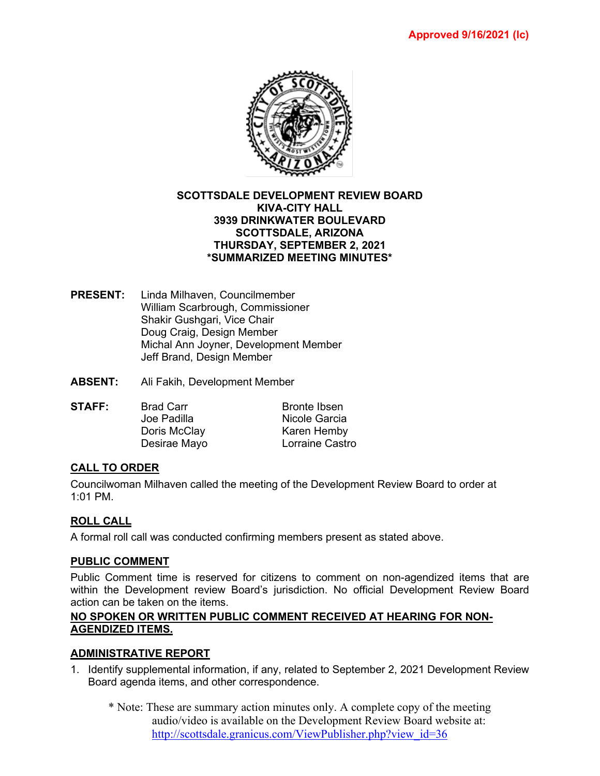

#### **SCOTTSDALE DEVELOPMENT REVIEW BOARD KIVA-CITY HALL 3939 DRINKWATER BOULEVARD SCOTTSDALE, ARIZONA THURSDAY, SEPTEMBER 2, 2021 \*SUMMARIZED MEETING MINUTES\***

- **PRESENT:** Linda Milhaven, Councilmember William Scarbrough, Commissioner Shakir Gushgari, Vice Chair Doug Craig, Design Member Michal Ann Joyner, Development Member Jeff Brand, Design Member
- **ABSENT:** Ali Fakih, Development Member
- **STAFF:** Brad Carr Bronte Ibsen<br>Joe Padilla Micole Garcia Nicole Garcia Doris McClay Karen Hemby Desirae Mayo Lorraine Castro

# **CALL TO ORDER**

Councilwoman Milhaven called the meeting of the Development Review Board to order at 1:01 PM.

### **ROLL CALL**

A formal roll call was conducted confirming members present as stated above.

### **PUBLIC COMMENT**

Public Comment time is reserved for citizens to comment on non-agendized items that are within the Development review Board's jurisdiction. No official Development Review Board action can be taken on the items.

### **NO SPOKEN OR WRITTEN PUBLIC COMMENT RECEIVED AT HEARING FOR NON-AGENDIZED ITEMS.**

### **ADMINISTRATIVE REPORT**

- 1. Identify supplemental information, if any, related to September 2, 2021 Development Review Board agenda items, and other correspondence.
	- \* Note: These are summary action minutes only. A complete copy of the meeting audio/video is available on the Development Review Board website at: [http://scottsdale.granicus.com/ViewPublisher.php?view\\_id=36](http://scottsdale.granicus.com/ViewPublisher.php?view_id=36)